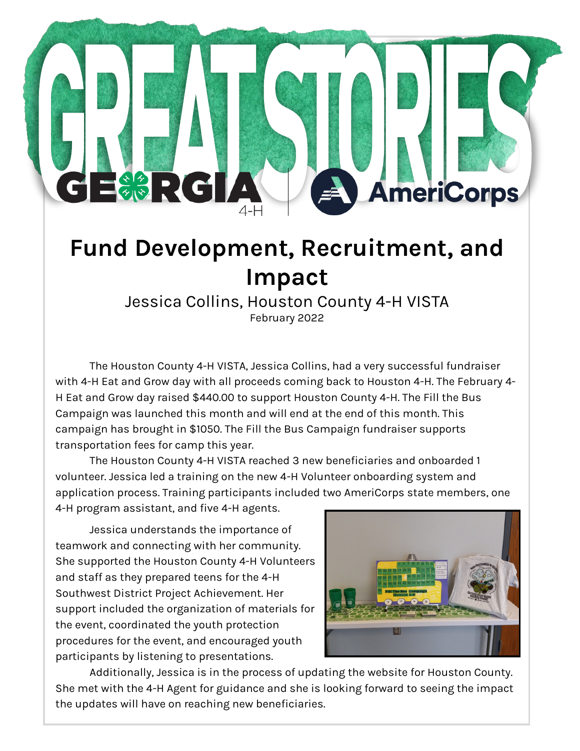## **Fund Development, Recruitment, and Impact**

## Jessica Collins, Houston County 4-H VISTA February 2022

The Houston County 4-H VISTA, Jessica Collins, had a very successful fundraiser with 4-H Eat and Grow day with all proceeds coming back to Houston 4-H. The February 4- H Eat and Grow day raised \$440.00 to support Houston County 4-H. The Fill the Bus Campaign was launched this month and will end at the end of this month. This campaign has brought in \$1050. The Fill the Bus Campaign fundraiser supports transportation fees for camp this year.

The Houston County 4-H VISTA reached 3 new beneficiaries and onboarded 1 volunteer. Jessica led a training on the new 4-H Volunteer onboarding system and application process. Training participants included two AmeriCorps state members, one 4-H program assistant, and five 4-H agents.

Jessica understands the importance of teamwork and connecting with her community. She supported the Houston County 4-H Volunteers and staff as they prepared teens for the 4-H Southwest District Project Achievement. Her support included the organization of materials for the event, coordinated the youth protection procedures for the event, and encouraged youth participants by listening to presentations.

三卷》:【C】



**AmeriCorps** 

Additionally, Jessica is in the process of updating the website for Houston County. She met with the 4-H Agent for guidance and she is looking forward to seeing the impact the updates will have on reaching new beneficiaries.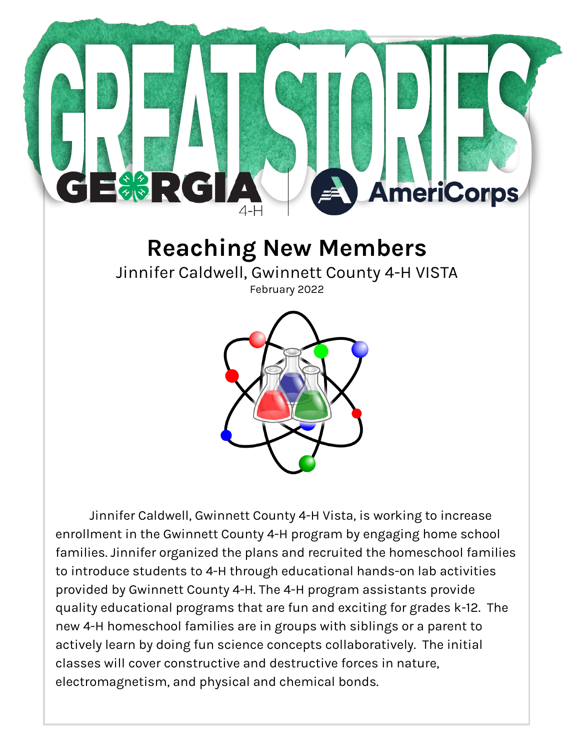

## **Reaching New Members**

Jinnifer Caldwell, Gwinnett County 4-H VISTA

February 2022



Jinnifer Caldwell, Gwinnett County 4-H Vista, is working to increase enrollment in the Gwinnett County 4-H program by engaging home school families. Jinnifer organized the plans and recruited the homeschool families to introduce students to 4-H through educational hands-on lab activities provided by Gwinnett County 4-H. The 4-H program assistants provide quality educational programs that are fun and exciting for grades k-12. The new 4-H homeschool families are in groups with siblings or a parent to actively learn by doing fun science concepts collaboratively. The initial classes will cover constructive and destructive forces in nature, electromagnetism, and physical and chemical bonds.